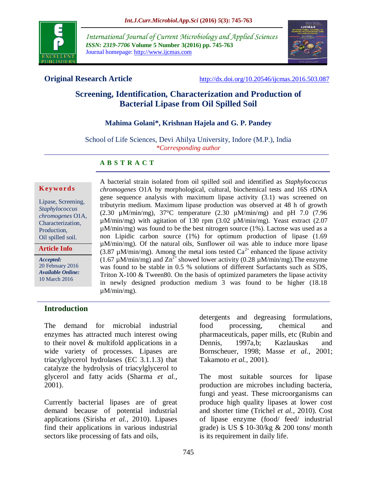

*International Journal of Current Microbiology and Applied Sciences ISSN: 2319-7706* **Volume 5 Number 3(2016) pp. 745-763** Journal homepage: http://www.ijcmas.com



**Original Research Article** <http://dx.doi.org/10.20546/ijcmas.2016.503.087>

# **Screening, Identification, Characterization and Production of Bacterial Lipase from Oil Spilled Soil**

#### **Mahima Golani\*, Krishnan Hajela and G. P. Pandey**

School of Life Sciences, Devi Ahilya University, Indore (M.P.), India *\*Corresponding author*

#### **A B S T R A C T**

#### **K ey w o rd s**

Lipase, Screening, *Staphylococcus chromogenes* O1A, Characterization, Production, Oil spilled soil.

**Article Info**

*Accepted:*  20 February 2016 *Available Online:* 10 March 2016

A bacterial strain isolated from oil spilled soil and identified as *Staphylococcus chromogenes* O1A by morphological, cultural, biochemical tests and 16S rDNA gene sequence analysis with maximum lipase activity (3.1) was screened on tributyrin medium. Maximum lipase production was observed at 48 h of growth (2.30  $\mu$ M/min/mg), 37°C temperature (2.30  $\mu$ M/min/mg) and pH 7.0 (7.96 µM/min/mg) with agitation of 130 rpm (3.02 µM/min/mg). Yeast extract (2.07  $\mu$ M/min/mg) was found to be the best nitrogen source (1%). Lactose was used as a non Lipidic carbon source (1%) for optimum production of lipase (1.69 µM/min/mg). Of the natural oils, Sunflower oil was able to induce more lipase  $(3.87 \mu M/min/mg)$ . Among the metal ions tested  $Ca^{2+}$  enhanced the lipase activity (1.67  $\mu$ M/min/mg) and  $\text{Zn}^{2+}$  showed lower activity (0.28  $\mu$ M/min/mg). The enzyme was found to be stable in 0.5 % solutions of different Surfactants such as SDS, Triton  $X-100 \&$  Tween80. On the basis of optimized parameters the lipase activity in newly designed production medium 3 was found to be higher (18.18  $\mu$ M/min/mg).

#### **Introduction**

The demand for microbial industrial enzymes has attracted much interest owing to their novel & multifold applications in a wide variety of processes. Lipases are triacylglycerol hydrolases (EC 3.1.1.3) that catalyze the hydrolysis of triacylglycerol to glycerol and fatty acids (Sharma *et al.,* 2001).

Currently bacterial lipases are of great demand because of potential industrial applications (Sirisha *et al.,* 2010). Lipases find their applications in various industrial sectors like processing of fats and oils,

detergents and degreasing formulations, food processing, chemical and pharmaceuticals, paper mills, etc (Rubin and Dennis, 1997a,b; Kazlauskas and Bornscheuer, 1998; Masse *et al.*, 2001; Takamoto *et al.,* 2001).

The most suitable sources for lipase production are microbes including bacteria, fungi and yeast. These microorganisms can produce high quality lipases at lower cost and shorter time (Trichel *et al.,* 2010). Cost of lipase enzyme (food/ feed/ industrial grade) is US  $$ 10-30/kg & 200$  tons/ month is its requirement in daily life.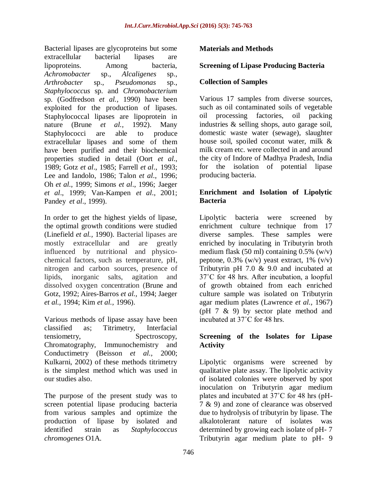Bacterial lipases are glycoproteins but some extracellular bacterial lipases are lipoproteins. Among bacteria, *Achromobacter* sp., *Alcaligenes* sp., *Arthrobacter* sp., *Pseudomonas* sp., *Staphylococcus* sp. and *Chromobacterium* sp. (Godfredson *et al.,* 1990) have been exploited for the production of lipases. Staphylococcal lipases are lipoprotein in nature (Brune *et al.,* 1992). Many Staphylococci are able to produce extracellular lipases and some of them have been purified and their biochemical properties studied in detail (Oort *et al*., 1989; Gotz *et al*., 1985; Farrell *et al*., 1993; Lee and Iandolo, 1986; Talon *et al*., 1996; Oh *et al*., 1999; Simons *et al*., 1996; Jaeger *et al*., 1999; Van-Kampen *et al*., 2001; Pandey *et al*., 1999).

In order to get the highest yields of lipase, the optimal growth conditions were studied (Linefield *et al.,* 1990). Bacterial lipases are mostly extracellular and are greatly influenced by nutritional and physicochemical factors, such as temperature, pH, nitrogen and carbon sources, presence of lipids, inorganic salts, agitation and dissolved oxygen concentration (Brune and Gotz, 1992; Aires-Barros *et al.,* 1994; Jaeger *et al.,* 1994; Kim *et al.,* 1996).

Various methods of lipase assay have been classified as; Titrimetry, Interfacial tensiometry, Spectroscopy, Chromatography, Immunochemistry and Conductimetry (Beisson *et al.,* 2000; Kulkarni, 2002) of these methods titrimetry is the simplest method which was used in our studies also.

The purpose of the present study was to screen potential lipase producing bacteria from various samples and optimize the production of lipase by isolated and identified strain as *Staphylococcus chromogenes* O1A.

## **Materials and Methods**

## **Screening of Lipase Producing Bacteria**

#### **Collection of Samples**

Various 17 samples from diverse sources, such as oil contaminated soils of vegetable oil processing factories, oil packing industries & selling shops, auto garage soil, domestic waste water (sewage), slaughter house soil, spoiled coconut water, milk & milk cream etc. were collected in and around the city of Indore of Madhya Pradesh, India for the isolation of potential lipase producing bacteria.

#### **Enrichment and Isolation of Lipolytic Bacteria**

Lipolytic bacteria were screened by enrichment culture technique from 17 diverse samples. These samples were enriched by inoculating in Tributyrin broth medium flask (50 ml) containing  $0.5\%$  (w/v) peptone,  $0.3\%$  (w/v) yeast extract,  $1\%$  (v/v) Tributyrin pH 7.0 & 9.0 and incubated at 37˚C for 48 hrs. After incubation, a loopful of growth obtained from each enriched culture sample was isolated on Tributyrin agar medium plates (Lawrence *et al.,* 1967) (pH 7 & 9) by sector plate method and incubated at 37˚C for 48 hrs.

## **Screening of the Isolates for Lipase Activity**

Lipolytic organisms were screened by qualitative plate assay. The lipolytic activity of isolated colonies were observed by spot inoculation on Tributyrin agar medium plates and incubated at 37˚C for 48 hrs (pH-7 & 9) and zone of clearance was observed due to hydrolysis of tributyrin by lipase. The alkalotolerant nature of isolates was determined by growing each isolate of pH- 7 Tributyrin agar medium plate to pH- 9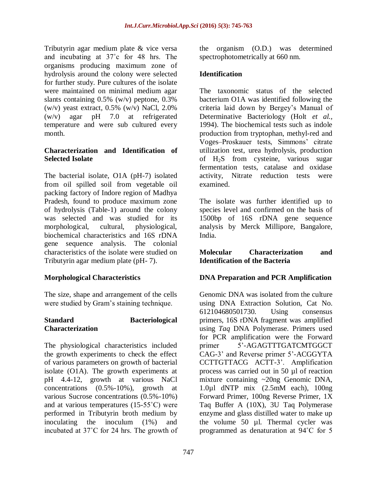Tributyrin agar medium plate & vice versa and incubating at 37˚c for 48 hrs. The organisms producing maximum zone of hydrolysis around the colony were selected for further study. Pure cultures of the isolate were maintained on minimal medium agar slants containing 0.5% (w/v) peptone, 0.3%  $(w/v)$  yeast extract, 0.5%  $(w/v)$  NaCl, 2.0% (w/v) agar pH 7.0 at refrigerated temperature and were sub cultured every month.

#### **Characterization and Identification of Selected Isolate**

The bacterial isolate, O1A (pH-7) isolated from oil spilled soil from vegetable oil packing factory of Indore region of Madhya Pradesh, found to produce maximum zone of hydrolysis (Table-1) around the colony was selected and was studied for its morphological, cultural, physiological, biochemical characteristics and 16S rDNA gene sequence analysis. The colonial characteristics of the isolate were studied on Tributyrin agar medium plate (pH- 7).

## **Morphological Characteristics**

The size, shape and arrangement of the cells were studied by Gram's staining technique.

#### **Standard Bacteriological Characterization**

The physiological characteristics included the growth experiments to check the effect of various parameters on growth of bacterial isolate (O1A). The growth experiments at pH 4.4-12, growth at various NaCl concentrations (0.5%-10%), growth at various Sucrose concentrations (0.5%-10%) and at various temperatures (15-55˚C) were performed in Tributyrin broth medium by inoculating the inoculum (1%) and incubated at 37˚C for 24 hrs. The growth of the organism (O.D.) was determined spectrophotometrically at 660 nm.

## **Identification**

The taxonomic status of the selected bacterium O1A was identified following the criteria laid down by Bergey's Manual of Determinative Bacteriology (Holt *et al.,* 1994). The biochemical tests such as indole production from tryptophan, methyl-red and Voges–Proskauer tests, Simmons' citrate utilization test, urea hydrolysis, production of H2S from cysteine, various sugar fermentation tests, catalase and oxidase activity, Nitrate reduction tests were examined.

The isolate was further identified up to species level and confirmed on the basis of 1500bp of 16S rDNA gene sequence analysis by Merck Millipore, Bangalore, India.

#### **Molecular Characterization and Identification of the Bacteria**

#### **DNA Preparation and PCR Amplification**

Genomic DNA was isolated from the culture using DNA Extraction Solution, Cat No. 612104680501730. Using consensus primers, 16S rDNA fragment was amplified using *Taq* DNA Polymerase. Primers used for PCR amplification were the Forward primer 5'-AGAGTTTGATCMTGGCT CAG-3' and Reverse primer 5'-ACGGYTA CCTTGTTACG ACTT-3'. Amplification process was carried out in 50 µl of reaction mixture containing ~20ng Genomic DNA, 1.0µl dNTP mix (2.5mM each), 100ng Forward Primer, 100ng Reverse Primer, 1X Taq Buffer A (10X), 3U Taq Polymerase enzyme and glass distilled water to make up the volume 50 µl. Thermal cycler was programmed as denaturation at 94˚C for 5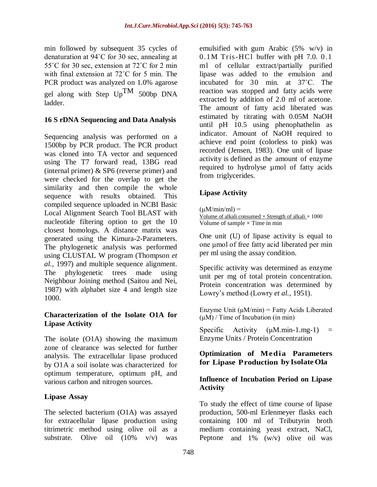min followed by subsequent 35 cycles of denaturation at 94˚C for 30 sec, annealing at 55˚C for 30 sec, extension at 72˚C for 2 min with final extension at 72˚C for 5 min. The PCR product was analyzed on 1.0% agarose gel along with Step UpTM 500bp DNA ladder.

## **16 S rDNA Sequencing and Data Analysis**

Sequencing analysis was performed on a 1500bp by PCR product. The PCR product was cloned into TA vector and sequenced using The T7 forward read, 13BG read (internal primer) & SP6 (reverse primer) and were checked for the overlap to get the similarity and then compile the whole sequence with results obtained. This compiled sequence uploaded in NCBI Basic Local Alignment Search Tool BLAST with nucleotide filtering option to get the 10 closest homologs. A distance matrix was generated using the Kimura-2-Parameters. The phylogenetic analysis was performed using CLUSTAL W program (Thompson *et al.,* 1997) and multiple sequence alignment. The phylogenetic trees made using Neighbour Joining method (Saitou and Nei, 1987) with alphabet size 4 and length size 1000.

#### **Characterization of the Isolate O1A for Lipase Activity**

The isolate (O1A) showing the maximum zone of clearance was selected for further analysis. The extracellular lipase produced by O1A a soil isolate was characterized for optimum temperature, optimum pH, and various carbon and nitrogen sources.

#### **Lipase Assay**

The selected bacterium (O1A) was assayed for extracellular lipase production using titrimetric method using olive oil as a substrate. Olive oil  $(10\% \t v/v)$  was

emulsified with gum Arabic (5% w/v) in 0.1M Tris-HCl buffer with pH 7.0. 0.1 ml of cellular extract/partially purified lipase was added to the emulsion and incubated for 30 min. at 37˚C. The reaction was stopped and fatty acids were extracted by addition of 2.0 ml of acetone. The amount of fatty acid liberated was estimated by titrating with 0.05M NaOH until pH 10.5 using phenophathelin as indicator. Amount of NaOH required to achieve end point (colorless to pink) was recorded (Jensen, 1983). One unit of lipase activity is defined as the amount of enzyme required to hydrolyse µmol of fatty acids from triglycerides.

# **Lipase Activity**

```
(uM/min/ml) =
```

```
Volume of alkali consumed \times Strength of alkali \times 1000
Volume of sample \times Time in min
```
One unit (U) of lipase activity is equal to one μmol of free fatty acid liberated per min per ml using the assay condition.

Specific activity was determined as enzyme unit per mg of total protein concentration. Protein concentration was determined by Lowry's method (Lowry *et al.,* 1951).

Enzyme Unit  $(\mu M/min) =$  Fatty Acids Liberated  $(\mu M)$  / Time of Incubation (in min)

Specific Activity  $(\mu M.min-1.mg-1)$  = Enzyme Units / Protein Concentration

## **Optimization of Media Parameters for Lipase Production by IsolateO1a**

#### **Influence of Incubation Period on Lipase Activity**

To study the effect of time course of lipase production, 500-ml Erlenmeyer flasks each containing 100 ml of Tributyrin broth medium containing yeast extract, NaCl, Peptone and  $1\%$  (w/v) olive oil was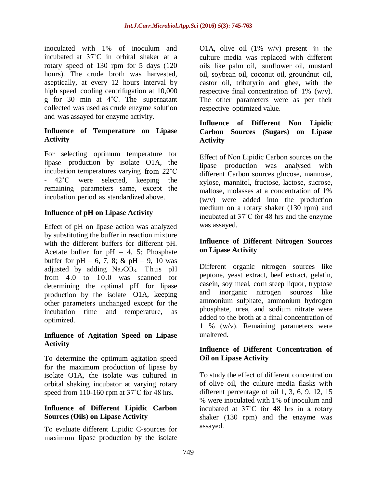inoculated with 1% of inoculum and incubated at 37˚C in orbital shaker at a rotary speed of 130 rpm for 5 days (120 hours). The crude broth was harvested, aseptically, at every 12 hours interval by high speed cooling centrifugation at 10,000 g for 30 min at 4˚C. The supernatant collected was used as crude enzyme solution and was assayed for enzyme activity.

## **Influence of Temperature on Lipase Activity**

For selecting optimum temperature for lipase production by isolate O1A, the incubation temperatures varying from 22˚C - 42˚C were selected, keeping the remaining parameters same, except the incubation period as standardized above.

## **Influence of pH on Lipase Activity**

Effect of pH on lipase action was analyzed by substituting the buffer in reaction mixture with the different buffers for different pH. Acetate buffer for  $pH - 4$ , 5; Phosphate buffer for pH – 6, 7, 8; & pH – 9, 10 was adjusted by adding  $Na<sub>2</sub>CO<sub>3</sub>$ . Thus pH from 4.0 to 10.0 was scanned for determining the optimal pH for lipase production by the isolate O1A, keeping other parameters unchanged except for the incubation time and temperature, as optimized.

#### **Influence of Agitation Speed on Lipase Activity**

To determine the optimum agitation speed for the maximum production of lipase by isolate O1A, the isolate was cultured in orbital shaking incubator at varying rotary speed from 110-160 rpm at 37°C for 48 hrs.

## **Influence of Different Lipidic Carbon Sources (Oils) on Lipase Activity**

To evaluate different Lipidic C-sources for maximum lipase production by the isolate

O1A, olive oil  $(1\% \t w/v)$  present in the culture media was replaced with different oils like palm oil, sunflower oil, mustard oil, soybean oil, coconut oil, groundnut oil, castor oil, tributyrin and ghee, with the respective final concentration of 1% (w/v). The other parameters were as per their respective optimized value.

## **Influence of Different Non Lipidic Carbon Sources (Sugars) on Lipase Activity**

Effect of Non Lipidic Carbon sources on the lipase production was analysed with different Carbon sources glucose, mannose, xylose, mannitol, fructose, lactose, sucrose, maltose, molasses at a concentration of 1% (w/v) were added into the production medium on a rotary shaker (130 rpm) and incubated at 37˚C for 48 hrs and the enzyme was assayed.

## **Influence of Different Nitrogen Sources on Lipase Activity**

Different organic nitrogen sources like peptone, yeast extract, beef extract, gelatin, casein, soy meal, corn steep liquor, tryptose and inorganic nitrogen sources like ammonium sulphate, ammonium hydrogen phosphate, urea, and sodium nitrate were added to the broth at a final concentration of 1 % (w/v). Remaining parameters were unaltered.

#### **Influence of Different Concentration of Oil on Lipase Activity**

To study the effect of different concentration of olive oil, the culture media flasks with different percentage of oil 1, 3, 6, 9, 12, 15 % were inoculated with 1% of inoculum and incubated at 37˚C for 48 hrs in a rotary shaker (130 rpm) and the enzyme was assayed.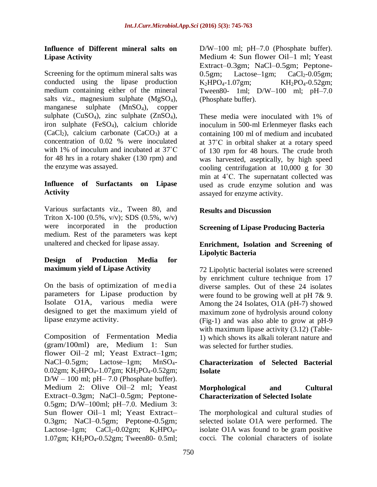## **Influence of Different mineral salts on Lipase Activity**

Screening for the optimum mineral salts was conducted using the lipase production medium containing either of the mineral salts viz., magnesium sulphate (MgSO<sub>4</sub>), manganese sulphate (MnSO4), copper sulphate  $(CuSO<sub>4</sub>)$ , zinc sulphate  $(ZnSO<sub>4</sub>)$ , iron sulphate  $(FeSO<sub>4</sub>)$ , calcium chloride  $(CaCl<sub>2</sub>)$ , calcium carbonate  $(CaCO<sub>3</sub>)$  at a concentration of 0.02 % were inoculated with 1% of inoculum and incubated at 37˚C for 48 hrs in a rotary shaker (130 rpm) and the enzyme was assayed.

## **Influence of Surfactants on Lipase Activity**

Various surfactants viz., Tween 80, and Triton X-100 (0.5%,  $v/v$ ); SDS (0.5%,  $w/v$ ) were incorporated in the production medium. Rest of the parameters was kept unaltered and checked for lipase assay.

## **Design of Production Media for maximum yield of Lipase Activity**

On the basis of optimization of media parameters for Lipase production by Isolate O1A, various media were designed to get the maximum yield of lipase enzyme activity.

Composition of Fermentation Media (gram/100ml) are, Medium 1: Sun flower Oil–2 ml; Yeast Extract–1gm; NaCl–0.5gm; Lactose–1gm; MnSO<sub>4</sub>-0.02gm; K<sub>2</sub>HPO<sub>4</sub>-1.07gm; KH<sub>2</sub>PO<sub>4</sub>-0.52gm;  $D/W - 100$  ml; pH $- 7.0$  (Phosphate buffer). Medium 2: Olive Oil–2 ml; Yeast Extract–0.3gm; NaCl–0.5gm; Peptone-0.5gm; D/W–100ml; pH–7.0. Medium 3: Sun flower Oil–1 ml; Yeast Extract– 0.3gm; NaCl–0.5gm; Peptone-0.5gm; Lactose–1gm;  $CaCl<sub>2</sub>-0.02gm$ ;  $K<sub>2</sub>HPO<sub>4</sub>$ -1.07gm; KH2PO4-0.52gm; Tween80- 0.5ml;

D/W–100 ml; pH–7.0 (Phosphate buffer). Medium 4: Sun flower Oil–1 ml; Yeast Extract–0.3gm; NaCl–0.5gm; Peptone- $0.5$ gm; Lactose-1gm; CaCl<sub>2</sub>-0.05gm;  $K_2HPO_4-1.07gm$ ;  $KH_2PO_4-0.52gm$ ; Tween80- 1ml; D/W–100 ml; pH–7.0 (Phosphate buffer).

These media were inoculated with 1% of inoculum in 500-ml Erlenmeyer flasks each containing 100 ml of medium and incubated at 37˚C in orbital shaker at a rotary speed of 130 rpm for 48 hours. The crude broth was harvested, aseptically, by high speed cooling centrifugation at 10,000 g for 30 min at 4˚C. The supernatant collected was used as crude enzyme solution and was assayed for enzyme activity.

## **Results and Discussion**

## **Screening of Lipase Producing Bacteria**

#### **Enrichment, Isolation and Screening of Lipolytic Bacteria**

72 Lipolytic bacterial isolates were screened by enrichment culture technique from 17 diverse samples. Out of these 24 isolates were found to be growing well at pH 7& 9. Among the 24 Isolates, O1A (pH-7) showed maximum zone of hydrolysis around colony (Fig-1) and was also able to grow at pH-9 with maximum lipase activity (3.12) (Table-1) which shows its alkali tolerant nature and was selected for further studies.

#### **Characterization of Selected Bacterial Isolate**

#### **Morphological and Cultural Characterization of Selected Isolate**

The morphological and cultural studies of selected isolate O1A were performed. The isolate O1A was found to be gram positive cocci. The colonial characters of isolate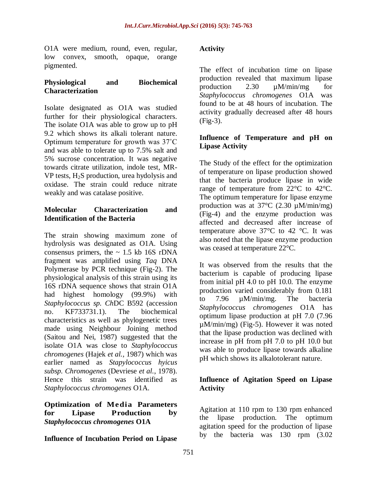O1A were medium, round, even, regular, low convex, smooth, opaque, orange pigmented.

#### **Physiological and Biochemical Characterization**

Isolate designated as O1A was studied further for their physiological characters. The isolate O1A was able to grow up to pH 9.2 which shows its alkali tolerant nature. Optimum temperature for growth was 37˚C and was able to tolerate up to 7.5% salt and 5% sucrose concentration. It was negative towards citrate utilization, indole test, MR-VP tests,  $H_2S$  production, urea hydolysis and oxidase. The strain could reduce nitrate weakly and was catalase positive.

## **Molecular Characterization and Identification of the Bacteria**

The strain showing maximum zone of hydrolysis was designated as O1A. Using consensus primers, the  $\sim 1.5$  kb 16S rDNA fragment was amplified using *Taq* DNA Polymerase by PCR technique (Fig-2). The physiological analysis of this strain using its 16S rDNA sequence shows that strain O1A had highest homology (99.9%) with *Staphylococcus sp. Ch*DC B592 (accession no. KF733731.1). The biochemical characteristics as well as phylogenetic trees made using Neighbour Joining method (Saitou and Nei, 1987) suggested that the isolate O1A was close to *Staphylococcus chromogenes* (Hajek *et al.,* 1987) which was earlier named as *Stapylococcus hyicus subsp. Chromogenes* (Devriese *et al.*, 1978). Hence this strain was identified as *Staphylococcus chromogenes* O1A.

#### **Optimization of Media Parameters for Lipase Production by**  *Staphylococcus chromogenes* **O1A**

**Influence of Incubation Period on Lipase** 

## **Activity**

The effect of incubation time on lipase production revealed that maximum lipase production 2.30 µM/min/mg for *Staphylococcus chromogenes* O1A was found to be at 48 hours of incubation. The activity gradually decreased after 48 hours (Fig-3).

## **Influence of Temperature and pH on Lipase Activity**

The Study of the effect for the optimization of temperature on lipase production showed that the bacteria produce lipase in wide range of temperature from 22°C to 42°C. The optimum temperature for lipase enzyme production was at  $37^{\circ}$ C (2.30  $\mu$ M/min/mg) (Fig-4) and the enzyme production was affected and decreased after increase of temperature above  $37^{\circ}$ C to  $42^{\circ}$ C. It was also noted that the lipase enzyme production was ceased at temperature 22°C.

It was observed from the results that the bacterium is capable of producing lipase from initial pH 4.0 to pH 10.0. The enzyme production varied considerably from 0.181 to 7.96 µM/min/mg. The bacteria *Staphylococcus chromogenes* O1A has optimum lipase production at pH 7.0 (7.96 µM/min/mg) (Fig-5). However it was noted that the lipase production was declined with increase in pH from pH 7.0 to pH 10.0 but was able to produce lipase towards alkaline pH which shows its alkalotolerant nature.

## **Influence of Agitation Speed on Lipase Activity**

Agitation at 110 rpm to 130 rpm enhanced the lipase production. The optimum agitation speed for the production of lipase by the bacteria was 130 rpm (3.02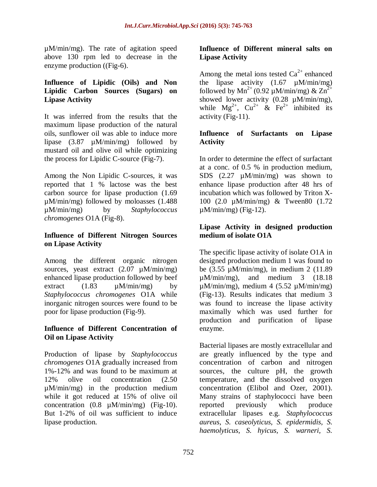µM/min/mg). The rate of agitation speed above 130 rpm led to decrease in the enzyme production ((Fig-6).

#### **Influence of Lipidic (Oils) and Non Lipidic Carbon Sources (Sugars) on Lipase Activity**

It was inferred from the results that the maximum lipase production of the natural oils, sunflower oil was able to induce more lipase (3.87 µM/min/mg) followed by mustard oil and olive oil while optimizing the process for Lipidic C-source (Fig-7).

Among the Non Lipidic C-sources, it was reported that 1 % lactose was the best carbon source for lipase production (1.69 µM/min/mg) followed by moloasses (1.488 µM/min/mg) by *Staphylococcus chromogenes* O1A (Fig-8).

## **Influence of Different Nitrogen Sources on Lipase Activity**

Among the different organic nitrogen sources, yeast extract (2.07  $\mu$ M/min/mg) enhanced lipase production followed by beef extract  $(1.83 \text{ µM/min/mg})$  by *Staphylococcus chromogenes* O1A while inorganic nitrogen sources were found to be poor for lipase production (Fig-9).

#### **Influence of Different Concentration of Oil on Lipase Activity**

Production of lipase by *Staphylococcus chromogenes* O1A gradually increased from 1%-12% and was found to be maximum at 12% olive oil concentration (2.50 µM/min/mg) in the production medium while it got reduced at 15% of olive oil concentration (0.8 µM/min/mg) (Fig-10). But 1-2% of oil was sufficient to induce lipase production.

## **Influence of Different mineral salts on Lipase Activity**

Among the metal ions tested  $Ca^{2+}$  enhanced the lipase activity  $(1.67 \mu M/min/mg)$ followed by  $Mn^{2+}$  (0.92 µM/min/mg) &  $Zn^{2+}$ showed lower activity  $(0.28 \mu M/min/mg)$ , while  $Mg^{2+}$ ,  $Cu^{2+}$  &  $Fe^{2+}$  inhibited its activity (Fig-11).

## **Influence of Surfactants on Lipase Activity**

In order to determine the effect of surfactant at a conc. of 0.5 % in production medium, SDS (2.27  $\mu$ M/min/mg) was shown to enhance lipase production after 48 hrs of incubation which was followed by Triton X-100 (2.0 µM/min/mg) & Tween80 (1.72  $\mu$ M/min/mg) (Fig-12).

## **Lipase Activity in designed production medium of isolate O1A**

The specific lipase activity of isolate O1A in designed production medium 1 was found to be (3.55 µM/min/mg), in medium 2 (11.89 µM/min/mg), and medium 3 (18.18  $\mu$ M/min/mg), medium 4 (5.52  $\mu$ M/min/mg) (Fig-13). Results indicates that medium 3 was found to increase the lipase activity maximally which was used further for production and purification of lipase enzyme.

Bacterial lipases are mostly extracellular and are greatly influenced by the type and concentration of carbon and nitrogen sources, the culture pH, the growth temperature, and the dissolved oxygen concentration (Elibol and Ozer, 2001). Many strains of staphylococci have been reported previously which produce extracellular lipases e.g. *Staphylococcus aureus*, *S. caseolyticus, S. epidermidis, S. haemolyticus, S. hyicus, S. warneri, S.*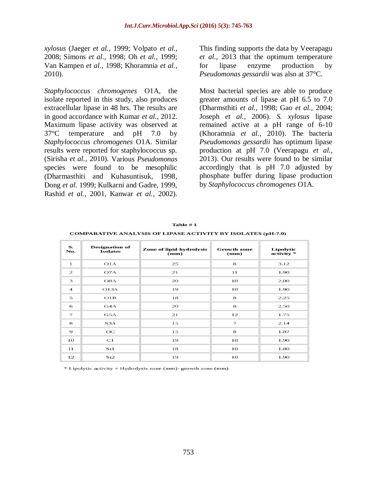*xylosus* (Jaeger *et al.,* 1999; Volpato *et al.,* 2008; Simons *et al.,* 1998; Oh *et al.,* 1999; Van Kampen *et al.,* 1998; Khoramnia *et al.,* 2010).

*Staphylococcus chromogenes* O1A, the isolate reported in this study, also produces extracellular lipase in 48 hrs. The results are in good accordance with Kumar *et al.,* 2012. Maximum lipase activity was observed at 37°C temperature and pH 7.0 by *Staphylococcus chromogenes* O1A. Similar results were reported for staphylococcus sp. (Sirisha *et al.,* 2010). Various *Pseudomonas* species were found to be mesophilic (Dharmasthiti and Kuhasuntisuk, 1998, Dong *et al*. 1999; Kulkarni and Gadre, 1999, Rashid *et al.,* 2001, Kanwar *et al.,* 2002).

This finding supports the data by Veerapagu *et al.,* 2013 that the optimum temperature for lipase enzyme production by *Pseudomonas gessardii* was also at 37°C.

Most bacterial species are able to produce greater amounts of lipase at pH 6.5 to 7.0 (Dharmsthiti *et al.,* 1998; Gao *et al.,* 2004; Joseph *et al.,* 2006). *S. xylosus* lipase remained active at a pH range of 6-10 (Khoramnia *et al.,* 2010). The bacteria *Pseudomonas gessardii* has optimum lipase production at pH 7.0 (Veerapagu *et al.,* 2013). Our results were found to be similar accordingly that is pH 7.0 adjusted by phosphate buffer during lipase production by *Staphylococcus chromogenes* O1A.

| S.<br>No.               | <b>Designation</b> of<br><b>Isolates</b> | Zone of lipid hydrolysis<br>$(\mathbf{mm})$ | <b>Growth zone</b><br>(mm) | Lipolytic<br>activity * |
|-------------------------|------------------------------------------|---------------------------------------------|----------------------------|-------------------------|
| $\mathbf{1}$            | O1A                                      | 25                                          | 8                          | 3.12                    |
| $\overline{\mathbf{z}}$ | O7A                                      | 21                                          | 11                         | 1.90                    |
| З                       | O <sub>8</sub> A                         | 20                                          | 10                         | 2.00                    |
| $\overline{4}$          | O13A                                     | 19                                          | 10                         | 1.90                    |
| 5                       | O1B                                      | 18                                          | 8                          | 2.25                    |
| 6                       | G4A                                      | 20                                          | 8                          | 2.50                    |
| 7                       | G5A                                      | 21                                          | 12                         | 1.75                    |
| 8                       | S <sub>3</sub> A                         | 15                                          | 7                          | 2.14                    |
| 9                       | $_{\rm OC}$                              | 15                                          | 8                          | 1.87                    |
| 10                      | C1                                       | 19                                          | 10                         | 1.90                    |
| 11                      | St1                                      | 18                                          | 10                         | 1.80                    |
| 12                      | St2                                      | 19                                          | 10                         | 1.90                    |

Table  $# 1$ 

\* Lipolytic activity = Hydrolysis zone (mm): growth zone (mm)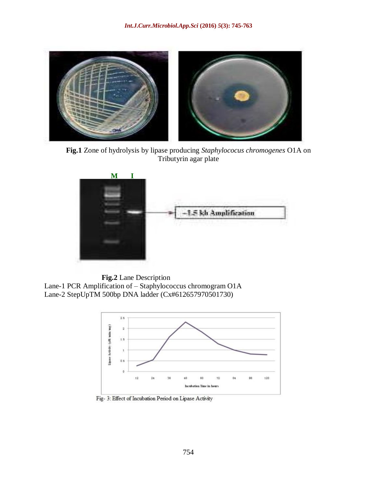

**Fig.1** Zone of hydrolysis by lipase producing *Staphylococus chromogenes* O1A on Tributyrin agar plate



 **Fig.2** Lane Description Lane-1 PCR Amplification of – Staphylococcus chromogram O1A Lane-2 StepUpTM 500bp DNA ladder (Cx#612657970501730)



Fig- 3: Effect of Incubation Period on Lipase Activity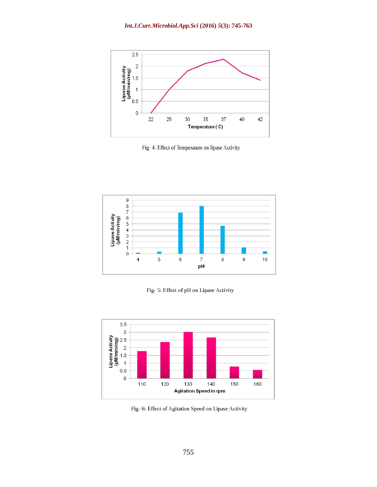

Fig- 4: Effect of Temperature on lipase Activity



Fig- 5: Effect of pH on Lipase Activity



Fig-6: Effect of Agitation Speed on Lipase Activity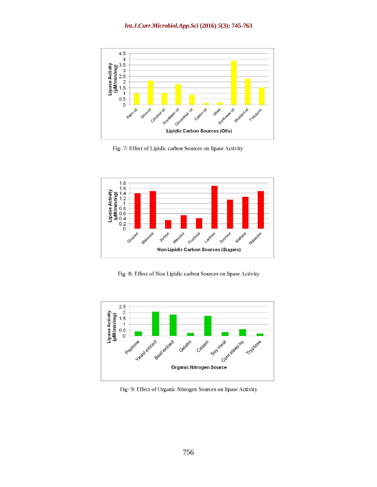

Fig- 7: Effect of Lipidic carbon Sources on lipase Activity



Fig- 8: Effect of Non Lipidic carbon Sources on lipase Activity



Fig- 9: Effect of Organic Nitrogen Sources on lipase Activity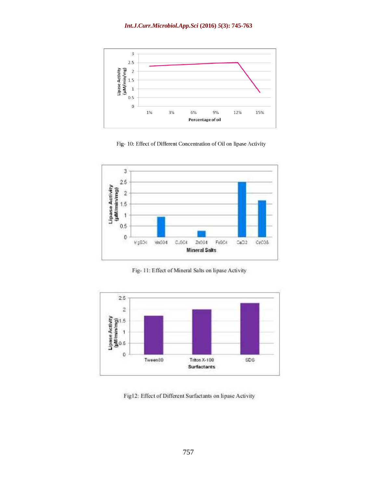#### *Int.J.Curr.Microbiol.App.Sci* **(2016)** *5***(3): 745-763**



Fig- 10: Effect of Different Concentration of Oil on lipase Activity



Fig-11: Effect of Mineral Salts on lipase Activity



Fig12: Effect of Different Surfactants on lipase Activity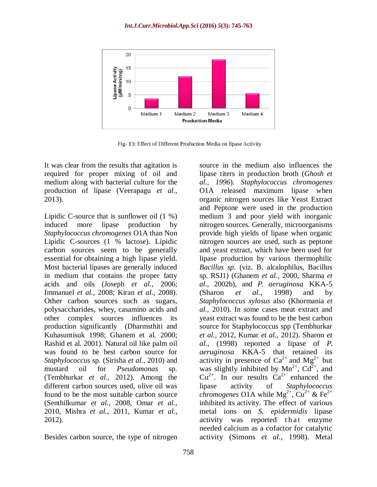

Fig- 13: Effect of Different Production Media on lipase Activity

It was clear from the results that agitation is required for proper mixing of oil and medium along with bacterial culture for the production of lipase (Veerapagu *et al.,* 2013).

Lipidic C-source that is sunflower oil (1 %) induced more lipase production by *Staphylococcus chromogenes* O1A than Non Lipidic C-sources (1 % lactose). Lipidic carbon sources seem to be generally essential for obtaining a high lipase yield. Most bacterial lipases are generally induced in medium that contains the proper fatty acids and oils (Joseph *et al.,* 2006; Immanuel *et al.,* 2008; Kiran *et al.,* 2008). Other carbon sources such as sugars, polysaccharides, whey, casamino acids and other complex sources influences its production significantly (Dharmsthiti and Kuhasuntisuk 1998; Ghanem et al. 2000; Rashid et al. 2001). Natural oil like palm oil was found to be best carbon source for *Staphylococcus* sp. (Sirisha *et al.,* 2010) and mustard oil for *Pseudomonas* sp. (Tembhurkar *et al.,* 2012). Among the different carbon sources used, olive oil was found to be the most suitable carbon source (Senthilkumar *et al.,* 2008, Omar *et al.,* 2010, Mishra *et al.,* 2011, Kumar *et al.,* 2012).

Besides carbon source, the type of nitrogen

source in the medium also influences the lipase titers in production broth (*Ghosh et al., 1996*). *Staphylococcus chromogenes* O1A released maximum lipase when organic nitrogen sources like Yeast Extract and Peptone were used in the production medium 3 and poor yield with inorganic nitrogen sources. Generally, microorganisms provide high yields of lipase when organic nitrogen sources are used, such as peptone and yeast extract, which have been used for lipase production by various thermophilic *Bacillus sp*. (viz. B. alcalophilus, Bacillus sp. RSJ1) (Ghanem *et al.,* 2000, Sharma *et al.,* 2002b), and *P. aeruginosa* KKA-5 (Sharon *et al.,* 1998) and by *Staphylococcus xylosus* also (Khormania *et al.,* 2010). In some cases meat extract and yeast extract was found to be the best carbon source for Staphylococcus spp (Tembhurkar *et al.,* 2012, Kumar *et al.,* 2012). Sharon *et al.,* (1998) reported a lipase of *P. aeruginosa* KKA-5 that retained its activity in presence of  $Ca^{2+}$  and  $Mg^{2+}$  but was slightly inhibited by  $Mn^{2+}$ ,  $Cd^{2+}$ , and  $Cu^{2+}$ . In our results  $Ca^{2+}$  enhanced the lipase activity of *Staphylococcus chromogenes* O1A while  $Mg^{2+}$ ,  $Cu^{2+}$  & Fe<sup>2+</sup> inhibited its activity. The effect of various metal ions on *S. epidermidis* lipase activity was reported that enzyme needed calcium as a cofactor for catalytic activity (Simons *et al.,* 1998). Metal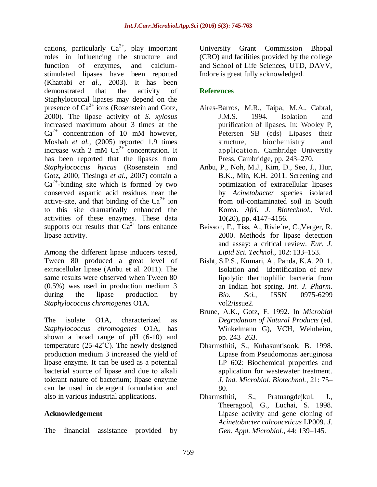cations, particularly  $Ca^{2+}$ , play important roles in influencing the structure and function of enzymes, and calciumstimulated lipases have been reported (Khattabi *et al.,* 2003). It has been demonstrated that the activity of Staphylococcal lipases may depend on the presence of  $Ca^{2+}$  ions (Rosenstein and Gotz, 2000). The lipase activity of *S. xylosus* increased maximum about 3 times at the  $Ca^{2+}$  concentration of 10 mM however, Mosbah *et al.,* (2005) reported 1.9 times increase with 2 mM  $Ca^{2+}$  concentration. It has been reported that the lipases from *Staphylococcus hyicus* (Rosenstein and Gotz, 2000; Tiesinga *et al.,* 2007) contain a  $Ca<sup>2+</sup>$ -binding site which is formed by two conserved aspartic acid residues near the active-site, and that binding of the  $Ca^{2+}$  ion to this site dramatically enhanced the activities of these enzymes. These data supports our results that  $Ca^{2+}$  ions enhance lipase activity.

Among the different lipase inducers tested, Tween 80 produced a great level of extracellular lipase (Anbu et al. 2011). The same results were observed when Tween 80 (0.5%) was used in production medium 3 during the lipase production by *Staphylococcus chromogenes* O1A.

The isolate O1A, characterized as *Staphylococcus chromogenes* O1A, has shown a broad range of pH (6-10) and temperature  $(25-42^{\circ}C)$ . The newly designed production medium 3 increased the yield of lipase enzyme. It can be used as a potential bacterial source of lipase and due to alkali tolerant nature of bacterium; lipase enzyme can be used in detergent formulation and also in various industrial applications.

#### **Acknowledgement**

The financial assistance provided by

University Grant Commission Bhopal (CRO) and facilities provided by the college and School of Life Sciences, UTD, DAVV, Indore is great fully acknowledged.

## **References**

- Aires-Barros, M.R., Taipa, M.A., Cabral, J.M.S. 1994. Isolation and purification of lipases. In: Wooley P, Petersen SB (eds) Lipases—their structure, biochemistry and application. Cambridge University Press, Cambridge, pp. 243–270.
- Anbu, P., Noh, M.J., Kim, D., Seo, J., Hur, B.K., Min, K.H. 2011. Screening and optimization of extracellular lipases by *Acinetobacter* species isolated from oil-contaminated soil in South Korea. *Afri. J. Biotechnol.,* Vol. 10(20), pp. 4147–4156.
- Beisson, F., Tiss, A., Rivie`re, C.,Verger, R. 2000. Methods for lipase detection and assay: a critical review. *Eur. J. Lipid Sci. Technol.,* 102: 133–153.
- Bisht, S.P.S., Kumari, A., Panda, K.A. 2011. Isolation and identification of new lipolytic thermophilic bacteria from an Indian hot spring. *Int. J. Pharm. Bio. Sci.,* ISSN 0975-6299 vol2/issue2.
- Brune, A.K., Gotz, F. 1992. In *Microbial Degradation of Natural Products* (ed. Winkelmann G), VCH, Weinheim, pp. 243–263.
- Dharmsthiti, S., Kuhasuntisook, B. 1998. Lipase from Pseudomonas aeruginosa LP 602: Biochemical properties and application for wastewater treatment. *J. Ind. Microbiol. Biotechnol.,* 21: 75– 80.
- Dharmsthiti, S., Pratuangdejkul, J., Theeragool, G., Luchai, S. 1998. Lipase activity and gene cloning of *Acinetobacter calcoaceticus* LP009. *J. Gen. Appl. Microbiol.,* 44: 139–145.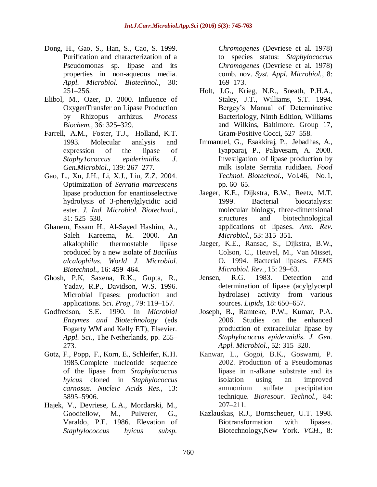- Dong, H., Gao, S., Han, S., Cao, S. 1999. Purification and characterization of a Pseudomonas sp. lipase and its properties in non-aqueous media. *Appl. Microbiol. Biotechnol.,* 30: 251–256.
- Elibol, M., Ozer, D. 2000. Influence of OxygenTransfer on Lipase Production by Rhizopus arrhizus. *Process Biochem.,* 36: 325–329.
- Farrell, A.M., Foster, T.J., Holland, K.T. 1993. Molecular analysis and expression of the lipase of *Staphy1ococcus epiderimidis. J. Gen.Microbiol.,* 139: 267–277.
- Gao, L., Xu, J.H., Li, X.J., Liu, Z.Z. 2004. Optimization of *Serratia marcescens*  lipase production for enantioselective hydrolysis of 3-phenylglycidic acid ester. *J. Ind. Microbiol. Biotechnol.*, 31: 525–530.
- Ghanem, Essam H., Al-Sayed Hashim, A., Saleh Kareema, M. 2000. An alkalophilic thermostable lipase produced by a new isolate of *Bacillus alcalophilus*. *World J. Microbiol. Biotechnol.,* 16: 459–464.
- Ghosh, P.K, Saxena, R.K., Gupta, R., Yadav, R.P., Davidson, W.S. 1996. Microbial lipases: production and applications. *Sci. Prog.,* 79: 119–157.
- Godfredson, S.E. 1990. In *Microbial Enzymes and Biotechnology* (eds Fogarty WM and Kelly ET), Elsevier. *Appl. Sci.*, The Netherlands, pp. 255– 273.
- Gotz, F., Popp, F., Korn, E., Schleifer, K.H. 1985.Complete nucleotide sequence of the lipase from *Sraphylococcus hyicus* cloned in *Staphylococcus carnosus. Nucleic Acids Res.,* 13: 5895–5906.
- Hajek, V., Devriese, L.A., Mordarski, M., Goodfellow, M., Pulverer, G., Varaldo, P.E. 1986. Elevation of *Staphylococcus hyicus subsp.*

*Chromogenes* (Devriese et al. 1978) to species status: *Staphylococcus Chromogenes* (Devriese et al. 1978) comb. nov. *Syst. Appl. Microbiol.*, 8: 169–173.

- Holt, J.G., Krieg, N.R., Sneath, P.H.A., Staley, J.T., Williams, S.T. 1994. Bergey's Manual of Determinative Bacteriology, Ninth Edition, Williams and Wilkins, Baltimore. Group 17, Gram-Positive Cocci, 527–558.
- Immanuel, G., Esakkiraj, P., Jebadhas, A., Iyapparaj, P., Palavesam, A. 2008. Investigation of lipase production by milk isolate Serratia rudidaea*. Food Technol. Biotechnol.,* Vol.46*,* No.1*,*  pp. 60–65.
- Jaeger, K.E., Dijkstra, B.W., Reetz, M.T. 1999. Bacterial biocatalysts: molecular biology, three-dimensional structures and biotechnological applications of lipases. *Ann. Rev. Microbiol.,* 53: 315–351.
- Jaeger, K.E., Ransac, S., Dijkstra, B.W., Colson, C., Heuvel, M., Van Misset, O. 1994. Bacterial lipases. *FEMS Microbiol. Rev.,* 15: 29–63.
- Jensen, R.G. 1983. Detection and determination of lipase (acylglycerpl hydrolase) activity from various sources. *Lipids,* 18: 650–657.
- Joseph, B., Ramteke, P.W., Kumar, P.A. 2006. Studies on the enhanced production of extracellular lipase by *Staphylococcus epidermidis*. *J. Gen. Appl. Microbiol.*, 52: 315–320.
- Kanwar, L., Gogoi, B.K., Goswami, P. 2002. Production of a Pseudomonas lipase in n-alkane substrate and its isolation using an improved ammonium sulfate precipitation technique. *Bioresour. Technol.,* 84: 207–211.
- Kazlauskas, R.J., Bornscheuer, U.T. 1998. Biotransformation with lipases. Biotechnology,New York. *VCH.,* 8: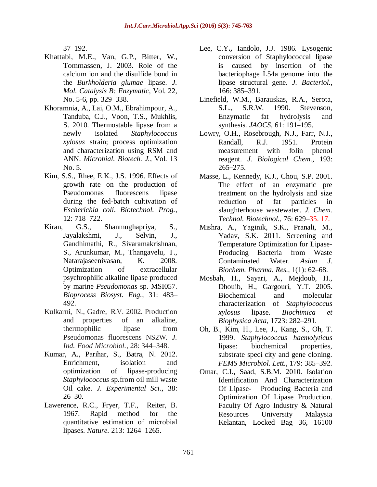37–192.

- Khattabi, M.E., Van, G.P., Bitter, W., Tommassen, J. 2003. Role of the calcium ion and the disulfide bond in the *Burkholderia glumae* lipase. *J. Mol. Catalysis B: Enzymatic,* Vol. 22, No. 5-6, pp. 329–338.
- Khoramnia, A., Lai, O.M., Ebrahimpour, A., Tanduba, C.J., Voon, T.S., Mukhlis, S. 2010. Thermostable lipase from a newly isolated *Staphylococcus xylosus* strain; process optimization and characterization using RSM and ANN. *Microbial. Biotech. J.,* Vol. 13 No. 5.
- Kim, S.S., Rhee, E.K., J.S. 1996. Effects of growth rate on the production of Pseudomonas fluorescens lipase during the fed-batch cultivation of *Escherichia coli*. *Biotechnol. Prog.,* 12: 718–722.
- Kiran, G.S., Shanmughapriya, S., Jayalakshmi, J., Selvin, J., Gandhimathi, R., Sivaramakrishnan, S., Arunkumar, M., Thangavelu, T., Natarajaseenivasan, K. 2008. Optimization of extracellular psychrophilic alkaline lipase produced by marine *Pseudomonas* sp. MSI057. *Bioprocess Biosyst. Eng.*, 31: 483– 492.
- Kulkarni, N., Gadre, R.V. 2002. Production and properties of an alkaline, thermophilic lipase from Pseudomonas fluorescens NS2W. *J. Ind. Food Microbiol.,* 28: 344–348.
- Kumar, A., Parihar, S., Batra, N. 2012. Enrichment, isolation and optimization of lipase-producing *Staphylococcus* sp.from oil mill waste Oil cake. *J. Experimental Sci.,* 38: 26–30.
- Lawerence, R.C., Fryer, T.F., Reiter, B. 1967. Rapid method for the quantitative estimation of microbial lipases. *Nature.* 213: 1264–1265.
- Lee, C.Y**.,** Iandolo, J.J. 1986. Lysogenic conversion of Staphylococcal lipase is caused by insertion of the bacteriophage L54a genome into the lipase structural gene. *J. Bacteriol.*, 166: 385–391.
- Linefield, W.M., Barauskas, R.A., Serota, S.L., S.R.W. 1990. Stevenson, Enzymatic fat hydrolysis and synthesis. *JAOCS,* 61: 191–195.
- Lowry, O.H., Rosebrough, N.J., Farr, N.J., Randall, R.J. 1951. Protein measurement with folin phenol reagent. *J. Biological Chem.,* 193: 265–275.
- Masse, L., Kennedy, K.J., Chou, S.P. 2001. The effect of an enzymatic pre treatment on the hydrolysis and size reduction of fat particles in slaughterhouse wastewater. *J. Chem. Technol. Biotechnol.,* 76: 629–35. 17.
- Mishra, A., Yaginik, S.K., Pranali, M., Yadav, S.K. 2011. Screening and Temperature Optimization for Lipase-Producing Bacteria from Waste Contaminated Water. *Asian J. Biochem. Pharma. Res.,* 1(1): 62–68.
- Mosbah, H., Sayari, A., Mejdoub, H., Dhouib, H., Gargouri, Y.T. 2005. Biochemical and molecular characterization of *Staphylococcus xylosus* lipase. *Biochimica et Biophysica Acta,* 1723: 282–291.
- Oh, B., Kim, H., Lee, J., Kang, S., Oh, T. 1999. *Staphylococcus haemolyticus*  lipase: biochemical properties, substrate speci city and gene cloning. *FEMS Microbiol. Lett.,* 179: 385–392.
- Omar, C.I., Saad, S.B.M. 2010. Isolation Identification And Characterization Of Lipase- Producing Bacteria and Optimization Of Lipase Production. Faculty Of Agro Industry & Natural Resources University Malaysia Kelantan, Locked Bag 36, 16100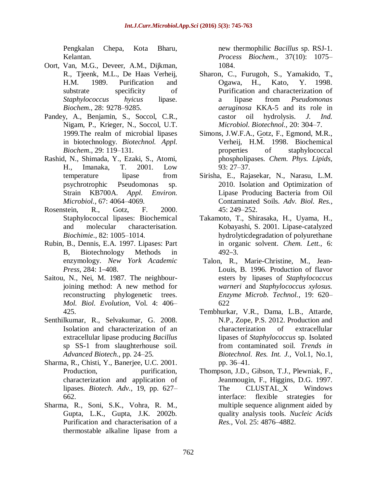Pengkalan Chepa, Kota Bharu, Kelantan.

- Oort, Van, M.G., Deveer, A.M., Dijkman, R., Tjeenk, M.L., De Haas Verheij, H.M. 1989. Purification and substrate specificity of *Staphylococcus hyicus* lipase. *Biochem.,* 28: 9278–9285.
- Pandey, A., Benjamin, S., Soccol, C.R., Nigam, P., Krieger, N., Soccol, U.T. 1999.The realm of microbial lipases in biotechnology. *Biotechnol. Appl. Biochem*., 29: 119–131.
- Rashid, N., Shimada, Y., Ezaki, S., Atomi, H., Imanaka, T. 2001. Low temperature lipase from psychrotrophic Pseudomonas sp. Strain KB700A. *Appl. Environ. Microbiol.,* 67: 4064–4069.
- Rosenstein, R., Gotz, F. 2000. Staphylococcal lipases: Biochemical and molecular characterisation. *Biochimie*., 82: 1005–1014.
- Rubin, B., Dennis, E.A. 1997. Lipases: Part B, Biotechnology Methods in enzymology. *New York Academic Press,* 284: 1–408.
- Saitou, N., Nei, M. 1987. The neighbourjoining method: A new method for reconstructing phylogenetic trees. *Mol. Biol. Evolution*, Vol. 4: 406– 425.
- Senthilkumar, R., Selvakumar, G. 2008. Isolation and characterization of an extracellular lipase producing *Bacillus* sp SS-1 from slaughterhouse soil. *Advanced Biotech.,* pp. 24–25.
- Sharma, R., Chisti, Y., Banerjee, U.C. 2001. Production, purification, characterization and application of lipases. *Biotech. Adv.,* 19, pp. 627– 662.
- Sharma, R., Soni, S.K., Vohra, R. M., Gupta, L.K., Gupta, J.K. 2002b. Purification and characterisation of a thermostable alkaline lipase from a

new thermophilic *Bacillus* sp. RSJ-1. *Process Biochem.,* 37(10): 1075– 1084.

- Sharon, C., Furugoh, S., Yamakido, T., Ogawa, H., Kato, Y. 1998. Purification and characterization of a lipase from *Pseudomonas aeruginosa* KKA-5 and its role in castor oil hydrolysis. *J. Ind. Microbiol. Biotechnol.,* 20: 304–7.
- Simons, J.W.F.A., Gotz, F., Egmond, M.R., Verheij, H.M. 1998. Biochemical properties of staphylococcal phospholipases. *Chem. Phys. Lipids,*  93: 27–37.
- Sirisha, E., Rajasekar, N., Narasu, L.M. 2010. Isolation and Optimization of Lipase Producing Bacteria from Oil Contaminated Soils. *Adv. Biol. Res.,* 45: 249–252.
- Takamoto, T., Shirasaka, H., Uyama, H., Kobayashi, S. 2001. Lipase-catalyzed hydrolyticdegradation of polyurethane in organic solvent. *Chem. Lett.,* 6: 492–3.
- Talon, R., Marie-Christine, M., Jean-Louis, B. 1996. Production of flavor esters by lipases of *Staphylococcus warneri* and *Staphylococcus xylosus. Enzyme Microb. Technol.,* 19: 620– 622
- Tembhurkar, V.R., Dama, L.B., Attarde, N.P., Zope, P.S. 2012. Production and characterization of extracellular lipases of *Staphylococcus* sp. Isolated from contaminated soil. *Trends in Biotechnol. Res. Int. J.,* Vol.1, No.1, pp. 36–41.
- Thompson, J.D., Gibson, T.J., Plewniak, F., Jeanmougin, F., Higgins, D.G. 1997. The CLUSTAL X Windows interface: flexible strategies for multiple sequence alignment aided by quality analysis tools. *Nucleic Acids Res.,* Vol. 25: 4876–4882.